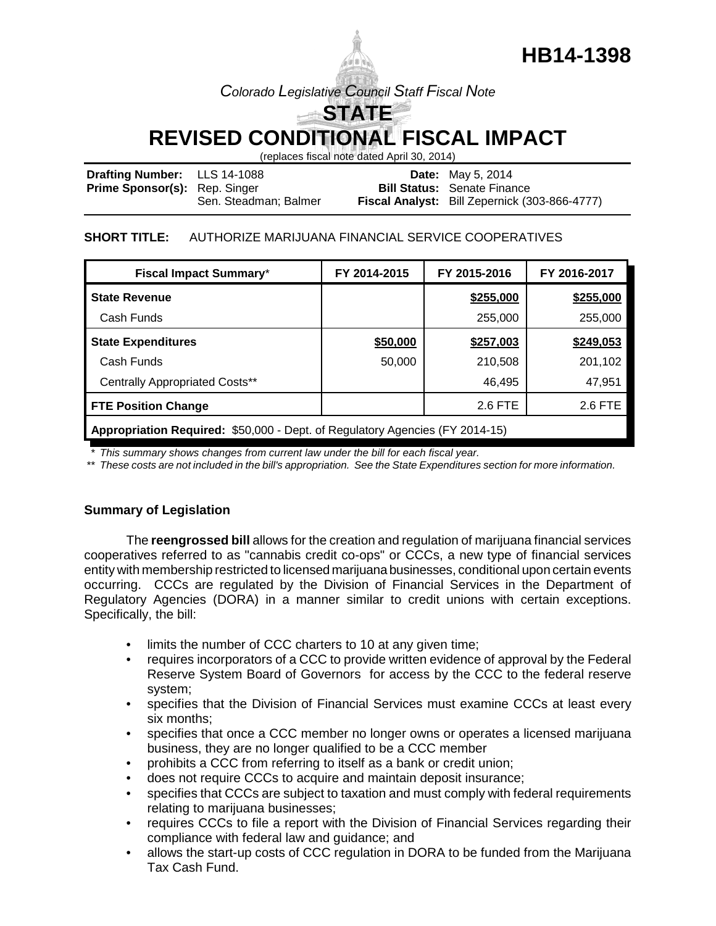# **HB14-1398**

# *Colorado Legislative Council Staff Fiscal Note*

**STATE REVISED CONDITIONAL FISCAL IMPACT**

(replaces fiscal note dated April 30, 2014)

| <b>Drafting Number:</b> LLS 14-1088  |                       | <b>Date:</b> May 5, 2014                      |
|--------------------------------------|-----------------------|-----------------------------------------------|
| <b>Prime Sponsor(s):</b> Rep. Singer |                       | <b>Bill Status: Senate Finance</b>            |
|                                      | Sen. Steadman; Balmer | Fiscal Analyst: Bill Zepernick (303-866-4777) |

### **SHORT TITLE:** AUTHORIZE MARIJUANA FINANCIAL SERVICE COOPERATIVES

| <b>Fiscal Impact Summary*</b>                                               | FY 2014-2015 | FY 2015-2016 | FY 2016-2017 |  |  |  |
|-----------------------------------------------------------------------------|--------------|--------------|--------------|--|--|--|
| <b>State Revenue</b>                                                        |              | \$255,000    | \$255,000    |  |  |  |
| Cash Funds                                                                  |              | 255,000      | 255,000      |  |  |  |
| <b>State Expenditures</b>                                                   | \$50,000     | \$257,003    | \$249,053    |  |  |  |
| Cash Funds                                                                  | 50,000       | 210,508      | 201,102      |  |  |  |
| <b>Centrally Appropriated Costs**</b>                                       |              | 46,495       | 47,951       |  |  |  |
| <b>FTE Position Change</b>                                                  |              | 2.6 FTE      | 2.6 FTE      |  |  |  |
| Appropriation Positived: \$50,000. Dont of Poquiatory Agoncies (EV 2014 15) |              |              |              |  |  |  |

**Appropriation Required:** \$50,000 - Dept. of Regulatory Agencies (FY 2014-15)

*\* This summary shows changes from current law under the bill for each fiscal year.* 

*\*\* These costs are not included in the bill's appropriation. See the State Expenditures section for more information.*

# **Summary of Legislation**

The **reengrossed bill** allows for the creation and regulation of marijuana financial services cooperatives referred to as "cannabis credit co-ops" or CCCs, a new type of financial services entity with membership restricted to licensed marijuana businesses, conditional upon certain events occurring. CCCs are regulated by the Division of Financial Services in the Department of Regulatory Agencies (DORA) in a manner similar to credit unions with certain exceptions. Specifically, the bill:

- limits the number of CCC charters to 10 at any given time;
- requires incorporators of a CCC to provide written evidence of approval by the Federal Reserve System Board of Governors for access by the CCC to the federal reserve system;
- specifies that the Division of Financial Services must examine CCCs at least every six months;
- specifies that once a CCC member no longer owns or operates a licensed marijuana business, they are no longer qualified to be a CCC member
- prohibits a CCC from referring to itself as a bank or credit union;
- does not require CCCs to acquire and maintain deposit insurance;
- specifies that CCCs are subject to taxation and must comply with federal requirements relating to marijuana businesses;
- requires CCCs to file a report with the Division of Financial Services regarding their compliance with federal law and guidance; and
- allows the start-up costs of CCC regulation in DORA to be funded from the Marijuana Tax Cash Fund.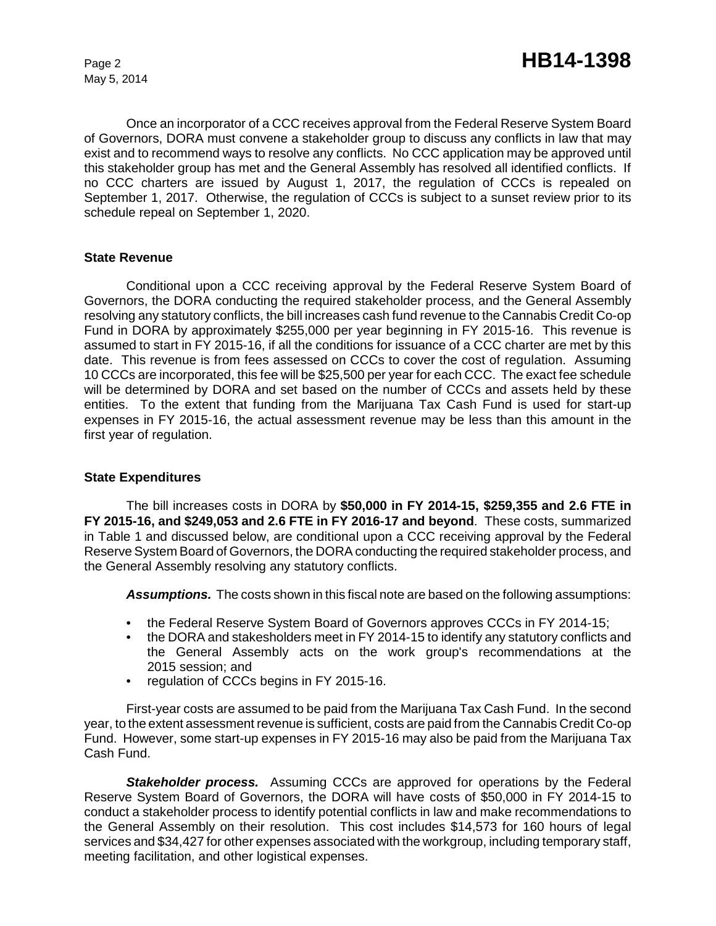May 5, 2014

Once an incorporator of a CCC receives approval from the Federal Reserve System Board of Governors, DORA must convene a stakeholder group to discuss any conflicts in law that may exist and to recommend ways to resolve any conflicts. No CCC application may be approved until this stakeholder group has met and the General Assembly has resolved all identified conflicts. If no CCC charters are issued by August 1, 2017, the regulation of CCCs is repealed on September 1, 2017. Otherwise, the regulation of CCCs is subject to a sunset review prior to its schedule repeal on September 1, 2020.

#### **State Revenue**

Conditional upon a CCC receiving approval by the Federal Reserve System Board of Governors, the DORA conducting the required stakeholder process, and the General Assembly resolving any statutory conflicts, the bill increases cash fund revenue to the Cannabis Credit Co-op Fund in DORA by approximately \$255,000 per year beginning in FY 2015-16. This revenue is assumed to start in FY 2015-16, if all the conditions for issuance of a CCC charter are met by this date. This revenue is from fees assessed on CCCs to cover the cost of regulation. Assuming 10 CCCs are incorporated, this fee will be \$25,500 per year for each CCC. The exact fee schedule will be determined by DORA and set based on the number of CCCs and assets held by these entities. To the extent that funding from the Marijuana Tax Cash Fund is used for start-up expenses in FY 2015-16, the actual assessment revenue may be less than this amount in the first year of regulation.

#### **State Expenditures**

The bill increases costs in DORA by **\$50,000 in FY 2014-15, \$259,355 and 2.6 FTE in FY 2015-16, and \$249,053 and 2.6 FTE in FY 2016-17 and beyond**. These costs, summarized in Table 1 and discussed below, are conditional upon a CCC receiving approval by the Federal Reserve System Board of Governors, the DORA conducting the required stakeholder process, and the General Assembly resolving any statutory conflicts.

*Assumptions.* The costs shown in this fiscal note are based on the following assumptions:

- the Federal Reserve System Board of Governors approves CCCs in FY 2014-15;
- the DORA and stakesholders meet in FY 2014-15 to identify any statutory conflicts and the General Assembly acts on the work group's recommendations at the 2015 session; and
- regulation of CCCs begins in FY 2015-16.

First-year costs are assumed to be paid from the Marijuana Tax Cash Fund. In the second year, to the extent assessment revenue is sufficient, costs are paid from the Cannabis Credit Co-op Fund. However, some start-up expenses in FY 2015-16 may also be paid from the Marijuana Tax Cash Fund.

*Stakeholder process.* Assuming CCCs are approved for operations by the Federal Reserve System Board of Governors, the DORA will have costs of \$50,000 in FY 2014-15 to conduct a stakeholder process to identify potential conflicts in law and make recommendations to the General Assembly on their resolution. This cost includes \$14,573 for 160 hours of legal services and \$34,427 for other expenses associated with the workgroup, including temporary staff, meeting facilitation, and other logistical expenses.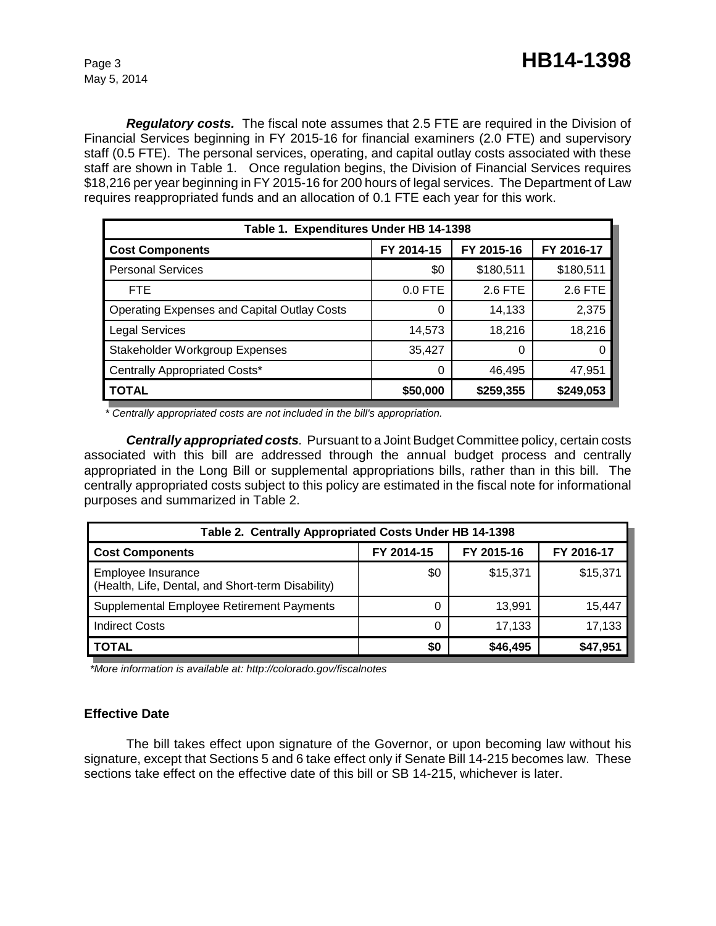*Regulatory costs.* The fiscal note assumes that 2.5 FTE are required in the Division of Financial Services beginning in FY 2015-16 for financial examiners (2.0 FTE) and supervisory staff (0.5 FTE). The personal services, operating, and capital outlay costs associated with these staff are shown in Table 1. Once regulation begins, the Division of Financial Services requires \$18,216 per year beginning in FY 2015-16 for 200 hours of legal services. The Department of Law requires reappropriated funds and an allocation of 0.1 FTE each year for this work.

| Table 1. Expenditures Under HB 14-1398             |            |            |            |  |  |  |  |
|----------------------------------------------------|------------|------------|------------|--|--|--|--|
| <b>Cost Components</b>                             | FY 2014-15 | FY 2015-16 | FY 2016-17 |  |  |  |  |
| <b>Personal Services</b>                           | \$0        | \$180,511  | \$180,511  |  |  |  |  |
| <b>FTE</b>                                         | $0.0$ FTE  | 2.6 FTE    | 2.6 FTE    |  |  |  |  |
| <b>Operating Expenses and Capital Outlay Costs</b> |            | 14,133     | 2,375      |  |  |  |  |
| <b>Legal Services</b>                              | 14,573     | 18,216     | 18,216     |  |  |  |  |
| Stakeholder Workgroup Expenses                     | 35,427     | 0          | 0          |  |  |  |  |
| Centrally Appropriated Costs*                      |            | 46,495     | 47,951     |  |  |  |  |
| <b>TOTAL</b>                                       | \$50,000   | \$259,355  | \$249,053  |  |  |  |  |

*\* Centrally appropriated costs are not included in the bill's appropriation.* 

*Centrally appropriated costs.* Pursuant to a Joint Budget Committee policy, certain costs associated with this bill are addressed through the annual budget process and centrally appropriated in the Long Bill or supplemental appropriations bills, rather than in this bill. The centrally appropriated costs subject to this policy are estimated in the fiscal note for informational purposes and summarized in Table 2.

| Table 2. Centrally Appropriated Costs Under HB 14-1398                  |            |            |            |  |  |  |
|-------------------------------------------------------------------------|------------|------------|------------|--|--|--|
| <b>Cost Components</b>                                                  | FY 2014-15 | FY 2015-16 | FY 2016-17 |  |  |  |
| Employee Insurance<br>(Health, Life, Dental, and Short-term Disability) | \$0        | \$15,371   | \$15,371   |  |  |  |
| Supplemental Employee Retirement Payments                               | 0          | 13,991     | 15,447     |  |  |  |
| <b>Indirect Costs</b>                                                   | 0          | 17,133     | 17,133     |  |  |  |
| <b>TOTAL</b>                                                            | \$0        | \$46,495   | \$47,951   |  |  |  |

 *\*More information is available at: http://colorado.gov/fiscalnotes*

# **Effective Date**

The bill takes effect upon signature of the Governor, or upon becoming law without his signature, except that Sections 5 and 6 take effect only if Senate Bill 14-215 becomes law. These sections take effect on the effective date of this bill or SB 14-215, whichever is later.